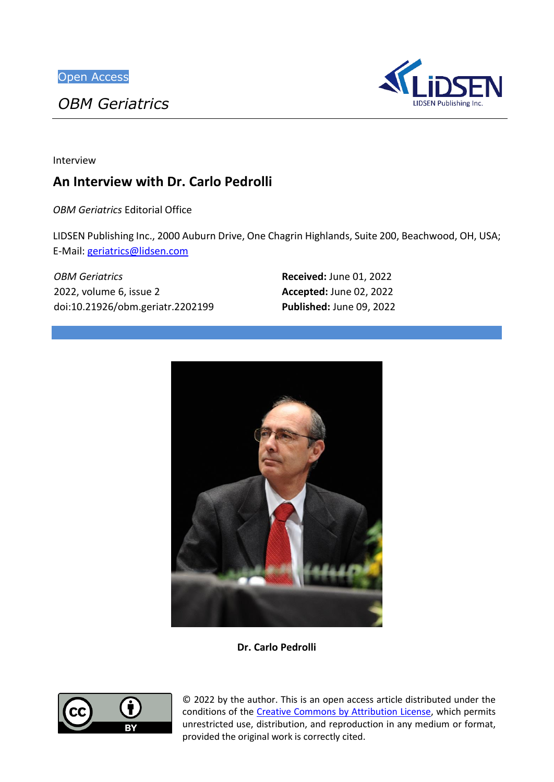*OBM Geriatrics*



Interview

# **An Interview with Dr. Carlo Pedrolli**

*OBM Geriatrics* Editorial Office

LIDSEN Publishing Inc., 2000 Auburn Drive, One Chagrin Highlands, Suite 200, Beachwood, OH, USA; E-Mail: [geriatrics@lidsen.com](mailto:geriatrics@lidsen.com)

*OBM Geriatrics* 2022, volume 6, issue 2 doi:10.21926/obm.geriatr.2202199 **Received:** June 01, 2022 **Accepted:** June 02, 2022 **Published:** June 09, 2022



**Dr. Carlo Pedrolli**



© 2022 by the author. This is an open access article distributed under the conditions of the [Creative Commons by Attribution License,](http://creativecommons.org/licenses/by/4.0/) which permits unrestricted use, distribution, and reproduction in any medium or format, provided the original work is correctly cited.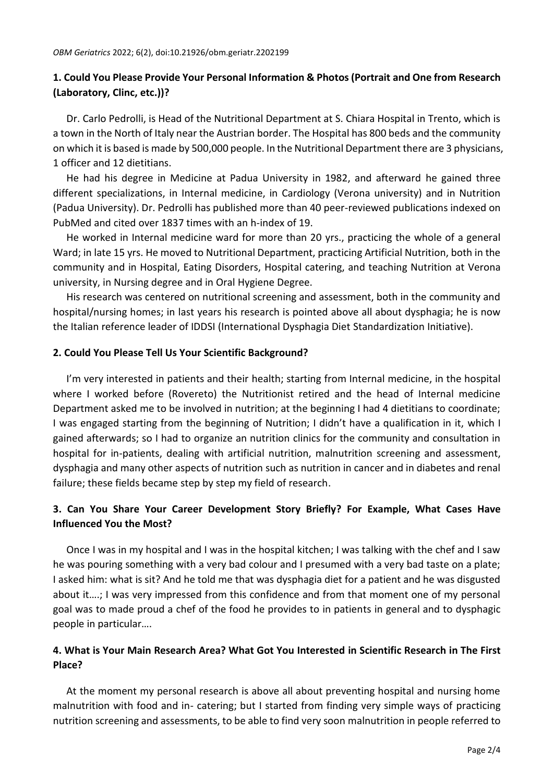## **1. Could You Please Provide Your Personal Information & Photos (Portrait and One from Research (Laboratory, Clinc, etc.))?**

Dr. Carlo Pedrolli, is Head of the Nutritional Department at S. Chiara Hospital in Trento, which is a town in the North of Italy near the Austrian border. The Hospital has 800 beds and the community on which it is based is made by 500,000 people. In the Nutritional Department there are 3 physicians, 1 officer and 12 dietitians.

He had his degree in Medicine at Padua University in 1982, and afterward he gained three different specializations, in Internal medicine, in Cardiology (Verona university) and in Nutrition (Padua University). Dr. Pedrolli has published more than 40 peer-reviewed publications indexed on PubMed and cited over 1837 times with an h-index of 19.

He worked in Internal medicine ward for more than 20 yrs., practicing the whole of a general Ward; in late 15 yrs. He moved to Nutritional Department, practicing Artificial Nutrition, both in the community and in Hospital, Eating Disorders, Hospital catering, and teaching Nutrition at Verona university, in Nursing degree and in Oral Hygiene Degree.

His research was centered on nutritional screening and assessment, both in the community and hospital/nursing homes; in last years his research is pointed above all about dysphagia; he is now the Italian reference leader of IDDSI (International Dysphagia Diet Standardization Initiative).

### **2. Could You Please Tell Us Your Scientific Background?**

I'm very interested in patients and their health; starting from Internal medicine, in the hospital where I worked before (Rovereto) the Nutritionist retired and the head of Internal medicine Department asked me to be involved in nutrition; at the beginning I had 4 dietitians to coordinate; I was engaged starting from the beginning of Nutrition; I didn't have a qualification in it, which I gained afterwards; so I had to organize an nutrition clinics for the community and consultation in hospital for in-patients, dealing with artificial nutrition, malnutrition screening and assessment, dysphagia and many other aspects of nutrition such as nutrition in cancer and in diabetes and renal failure; these fields became step by step my field of research.

# **3. Can You Share Your Career Development Story Briefly? For Example, What Cases Have Influenced You the Most?**

Once I was in my hospital and I was in the hospital kitchen; I was talking with the chef and I saw he was pouring something with a very bad colour and I presumed with a very bad taste on a plate; I asked him: what is sit? And he told me that was dysphagia diet for a patient and he was disgusted about it….; I was very impressed from this confidence and from that moment one of my personal goal was to made proud a chef of the food he provides to in patients in general and to dysphagic people in particular….

### **4. What is Your Main Research Area? What Got You Interested in Scientific Research in The First Place?**

At the moment my personal research is above all about preventing hospital and nursing home malnutrition with food and in- catering; but I started from finding very simple ways of practicing nutrition screening and assessments, to be able to find very soon malnutrition in people referred to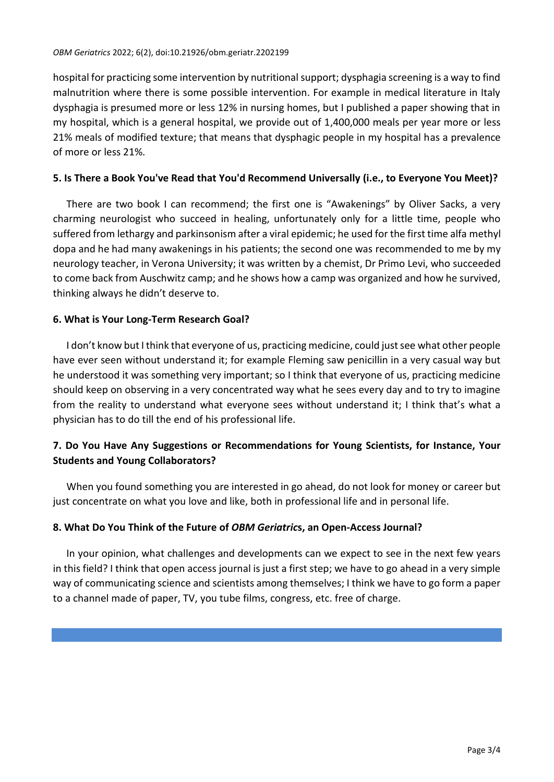hospital for practicing some intervention by nutritional support; dysphagia screening is a way to find malnutrition where there is some possible intervention. For example in medical literature in Italy dysphagia is presumed more or less 12% in nursing homes, but I published a paper showing that in my hospital, which is a general hospital, we provide out of 1,400,000 meals per year more or less 21% meals of modified texture; that means that dysphagic people in my hospital has a prevalence of more or less 21%.

#### **5. Is There a Book You've Read that You'd Recommend Universally (i.e., to Everyone You Meet)?**

There are two book I can recommend; the first one is "Awakenings" by Oliver Sacks, a very charming neurologist who succeed in healing, unfortunately only for a little time, people who suffered from lethargy and parkinsonism after a viral epidemic; he used for the first time alfa methyl dopa and he had many awakenings in his patients; the second one was recommended to me by my neurology teacher, in Verona University; it was written by a chemist, Dr Primo Levi, who succeeded to come back from Auschwitz camp; and he shows how a camp was organized and how he survived, thinking always he didn't deserve to.

### **6. What is Your Long-Term Research Goal?**

I don't know but I think that everyone of us, practicing medicine, could just see what other people have ever seen without understand it; for example Fleming saw penicillin in a very casual way but he understood it was something very important; so I think that everyone of us, practicing medicine should keep on observing in a very concentrated way what he sees every day and to try to imagine from the reality to understand what everyone sees without understand it; I think that's what a physician has to do till the end of his professional life.

# **7. Do You Have Any Suggestions or Recommendations for Young Scientists, for Instance, Your Students and Young Collaborators?**

When you found something you are interested in go ahead, do not look for money or career but just concentrate on what you love and like, both in professional life and in personal life.

### **8. What Do You Think of the Future of** *OBM Geriatric***s, an Open-Access Journal?**

In your opinion, what challenges and developments can we expect to see in the next few years in this field? I think that open access journal is just a first step; we have to go ahead in a very simple way of communicating science and scientists among themselves; I think we have to go form a paper to a channel made of paper, TV, you tube films, congress, etc. free of charge.